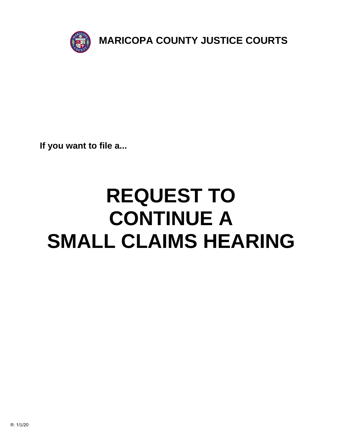

**If you want to file a...**

# **REQUEST TO CONTINUE A SMALL CLAIMS HEARING**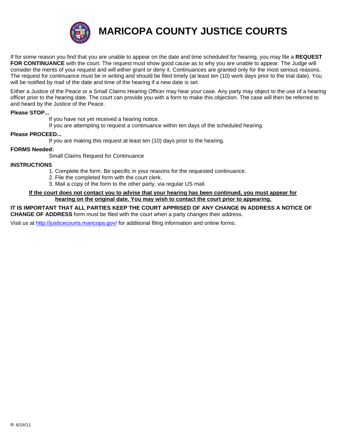

**MARICOPA COUNTY JUSTICE COURTS**

If for some reason you find that you are unable to appear on the date and time scheduled for hearing, you may file a **REQUEST FOR CONTINUANCE** with the court. The request must show good cause as to why you are unable to appear. The Judge will consider the merits of your request and will either grant or deny it. Continuances are granted only for the most serious reasons. The request for continuance must be in writing and should be filed timely (at least ten (10) work days prior to the trial date). You will be notified by mail of the date and time of the hearing if a new date is set.

[Either a Justice of the Peace or a Small Claims Hearing Officer may hear your case. Any party may object to the use of a hearing](http://justicecourts.maricopa.gov/) officer prior to the hearing date. The court can provide you with a form to make this objection. The case will then be referred to and heard by the Justice of the Peace.

## **Please STOP...**

If you have not yet received a hearing notice.

If you are attempting to request a continuance within ten days of the scheduled hearing.

## **Please PROCEED...**

If you are making this request at least ten (10) days prior to the hearing.

#### **FORMS Needed:**

Small Claims Request for Continuance

#### **INSTRUCTIONS**

- 1. Complete the form. Be specific in your reasons for the requested continuance.
- 2. File the completed form with the court clerk.
- [3. Mail a copy of the form to](http://justicecourts.maricopa.gov/) the other party, via regular US mail.

# **If the court does not contact you to advise that your hearing has been continued, you must appear for hearing on the original date. You may wish to contact the court prior to appearing.**

**IT IS IMPORTANT THAT ALL PARTIES KEEP THE COURT APPRISED OF ANY CHANGE IN ADDRESS A NOTICE OF CHANGE OF ADDRESS** form must be filed with the court when a party changes their address.

Visit us at http://justicecourts.maricopa.gov/ for additional filing information and online forms.